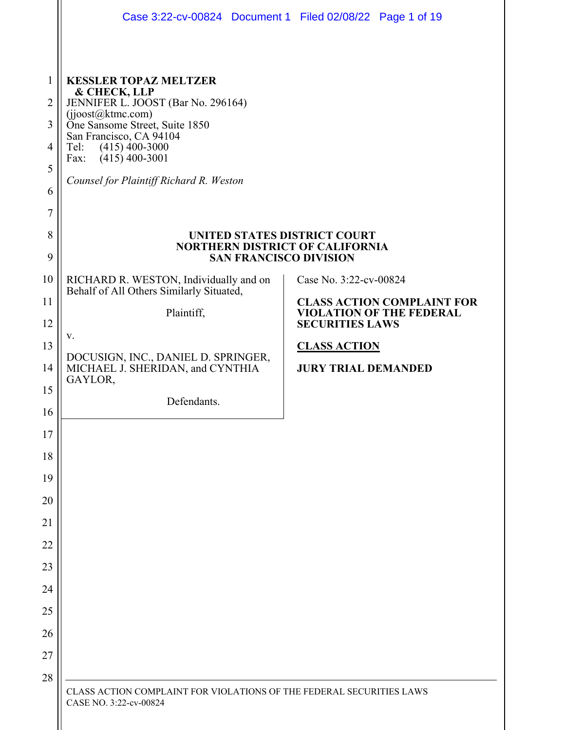|                | Case 3:22-cv-00824 Document 1 Filed 02/08/22 Page 1 of 19                                               |                                                           |  |
|----------------|---------------------------------------------------------------------------------------------------------|-----------------------------------------------------------|--|
|                |                                                                                                         |                                                           |  |
| 1              | <b>KESSLER TOPAZ MELTZER</b><br>& CHECK, LLP                                                            |                                                           |  |
| $\overline{2}$ | JENNIFER L. JOOST (Bar No. 296164)<br>(jjoost@ktmc.com)                                                 |                                                           |  |
| 3              | One Sansome Street, Suite 1850<br>San Francisco, CA 94104                                               |                                                           |  |
| 4              | $(415)$ 400-3000<br>Tel:<br>$(415)$ 400-3001<br>Fax:                                                    |                                                           |  |
| 5              | Counsel for Plaintiff Richard R. Weston                                                                 |                                                           |  |
| 6              |                                                                                                         |                                                           |  |
| 7<br>8         |                                                                                                         |                                                           |  |
| 9              | UNITED STATES DISTRICT COURT<br><b>NORTHERN DISTRICT OF CALIFORNIA</b><br><b>SAN FRANCISCO DIVISION</b> |                                                           |  |
| 10             | RICHARD R. WESTON, Individually and on                                                                  | Case No. 3:22-cv-00824                                    |  |
| 11             | Behalf of All Others Similarly Situated,                                                                | <b>CLASS ACTION COMPLAINT FOR</b>                         |  |
| 12             | Plaintiff,                                                                                              | <b>VIOLATION OF THE FEDERAL</b><br><b>SECURITIES LAWS</b> |  |
| 13             | v.<br>DOCUSIGN, INC., DANIEL D. SPRINGER,                                                               | <b>CLASS ACTION</b>                                       |  |
| 14             | MICHAEL J. SHERIDAN, and CYNTHIA<br>GAYLOR,                                                             | <b>JURY TRIAL DEMANDED</b>                                |  |
| 15             | Defendants.                                                                                             |                                                           |  |
| 16             |                                                                                                         |                                                           |  |
| 17             |                                                                                                         |                                                           |  |
| 18             |                                                                                                         |                                                           |  |
| 19             |                                                                                                         |                                                           |  |
| 20             |                                                                                                         |                                                           |  |
| 21<br>22       |                                                                                                         |                                                           |  |
| 23             |                                                                                                         |                                                           |  |
| 24             |                                                                                                         |                                                           |  |
| 25             |                                                                                                         |                                                           |  |
| 26             |                                                                                                         |                                                           |  |
| 27             |                                                                                                         |                                                           |  |
| 28             |                                                                                                         |                                                           |  |
|                | CLASS ACTION COMPLAINT FOR VIOLATIONS OF THE FEDERAL SECURITIES LAWS<br>CASE NO. 3:22-cv-00824          |                                                           |  |
|                |                                                                                                         |                                                           |  |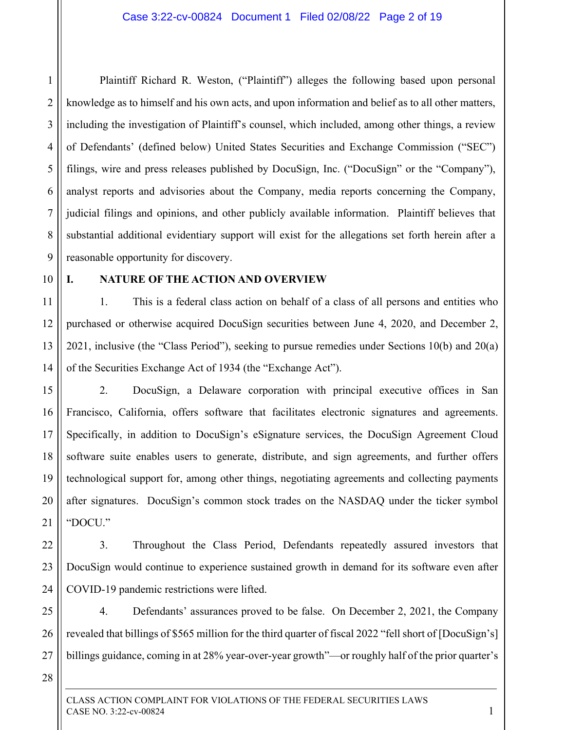1 2 3 4 5 6 7 8 9 Plaintiff Richard R. Weston, ("Plaintiff") alleges the following based upon personal knowledge as to himself and his own acts, and upon information and belief as to all other matters, including the investigation of Plaintiff's counsel, which included, among other things, a review of Defendants' (defined below) United States Securities and Exchange Commission ("SEC") filings, wire and press releases published by DocuSign, Inc. ("DocuSign" or the "Company"), analyst reports and advisories about the Company, media reports concerning the Company, judicial filings and opinions, and other publicly available information. Plaintiff believes that substantial additional evidentiary support will exist for the allegations set forth herein after a reasonable opportunity for discovery.

10

### **I. NATURE OF THE ACTION AND OVERVIEW**

11 12 13 14 1. This is a federal class action on behalf of a class of all persons and entities who purchased or otherwise acquired DocuSign securities between June 4, 2020, and December 2, 2021, inclusive (the "Class Period"), seeking to pursue remedies under Sections 10(b) and 20(a) of the Securities Exchange Act of 1934 (the "Exchange Act").

15 16 17 18 19 20 21 2. DocuSign, a Delaware corporation with principal executive offices in San Francisco, California, offers software that facilitates electronic signatures and agreements. Specifically, in addition to DocuSign's eSignature services, the DocuSign Agreement Cloud software suite enables users to generate, distribute, and sign agreements, and further offers technological support for, among other things, negotiating agreements and collecting payments after signatures. DocuSign's common stock trades on the NASDAQ under the ticker symbol "DOCU."

22 23 24 3. Throughout the Class Period, Defendants repeatedly assured investors that DocuSign would continue to experience sustained growth in demand for its software even after COVID-19 pandemic restrictions were lifted.

25 26 27 4. Defendants' assurances proved to be false. On December 2, 2021, the Company revealed that billings of \$565 million for the third quarter of fiscal 2022 "fell short of [DocuSign's] billings guidance, coming in at 28% year-over-year growth"—or roughly half of the prior quarter's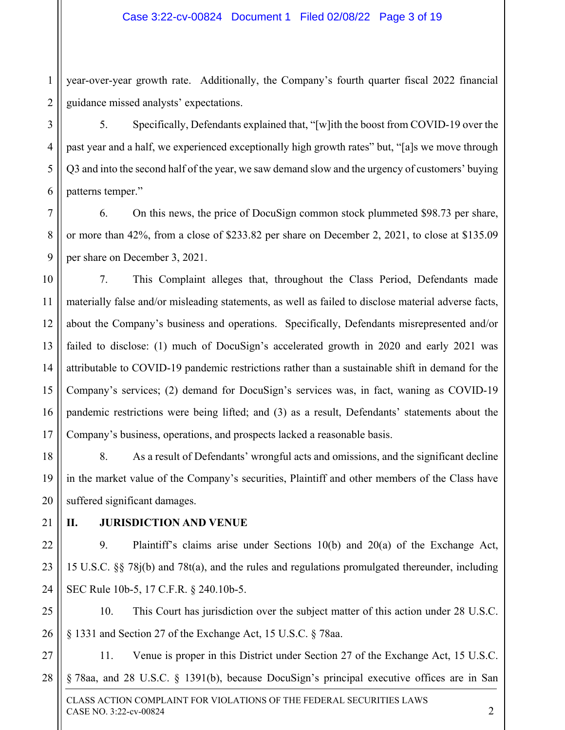1 2 year-over-year growth rate. Additionally, the Company's fourth quarter fiscal 2022 financial guidance missed analysts' expectations.

5. Specifically, Defendants explained that, "[w]ith the boost from COVID-19 over the past year and a half, we experienced exceptionally high growth rates" but, "[a]s we move through Q3 and into the second half of the year, we saw demand slow and the urgency of customers' buying patterns temper."

7 8 9 6. On this news, the price of DocuSign common stock plummeted \$98.73 per share, or more than 42%, from a close of \$233.82 per share on December 2, 2021, to close at \$135.09 per share on December 3, 2021.

10 11 12 13 14 15 16 17 7. This Complaint alleges that, throughout the Class Period, Defendants made materially false and/or misleading statements, as well as failed to disclose material adverse facts, about the Company's business and operations. Specifically, Defendants misrepresented and/or failed to disclose: (1) much of DocuSign's accelerated growth in 2020 and early 2021 was attributable to COVID-19 pandemic restrictions rather than a sustainable shift in demand for the Company's services; (2) demand for DocuSign's services was, in fact, waning as COVID-19 pandemic restrictions were being lifted; and (3) as a result, Defendants' statements about the Company's business, operations, and prospects lacked a reasonable basis.

18 19 20 8. As a result of Defendants' wrongful acts and omissions, and the significant decline in the market value of the Company's securities, Plaintiff and other members of the Class have suffered significant damages.

21

3

4

5

6

### **II. JURISDICTION AND VENUE**

22 23 24 9. Plaintiff's claims arise under Sections 10(b) and 20(a) of the Exchange Act, 15 U.S.C. §§ 78j(b) and 78t(a), and the rules and regulations promulgated thereunder, including SEC Rule 10b-5, 17 C.F.R. § 240.10b-5.

25 26 10. This Court has jurisdiction over the subject matter of this action under 28 U.S.C. § 1331 and Section 27 of the Exchange Act, 15 U.S.C. § 78aa.

27 28 11. Venue is proper in this District under Section 27 of the Exchange Act, 15 U.S.C. § 78aa, and 28 U.S.C. § 1391(b), because DocuSign's principal executive offices are in San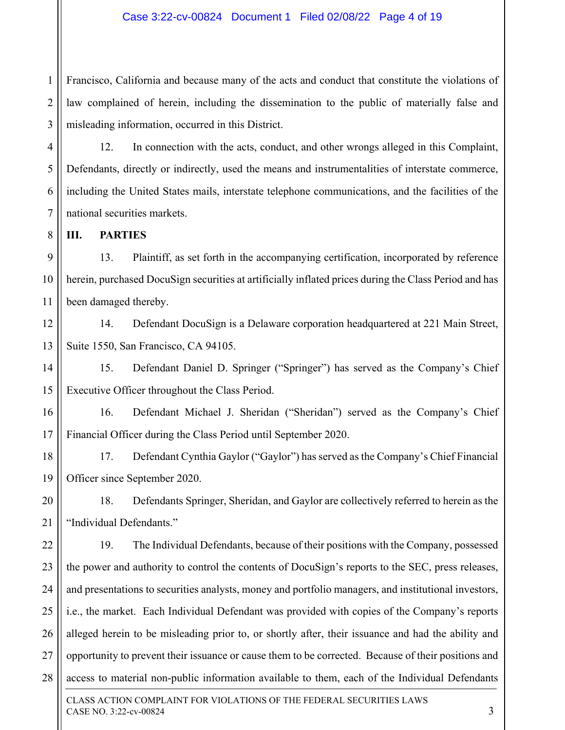1 2 3 Francisco, California and because many of the acts and conduct that constitute the violations of law complained of herein, including the dissemination to the public of materially false and misleading information, occurred in this District.

12. In connection with the acts, conduct, and other wrongs alleged in this Complaint, Defendants, directly or indirectly, used the means and instrumentalities of interstate commerce, including the United States mails, interstate telephone communications, and the facilities of the national securities markets.

**III. PARTIES** 

4

5

6

7

8

9 10 11 13. Plaintiff, as set forth in the accompanying certification, incorporated by reference herein, purchased DocuSign securities at artificially inflated prices during the Class Period and has been damaged thereby.

12 13 14. Defendant DocuSign is a Delaware corporation headquartered at 221 Main Street, Suite 1550, San Francisco, CA 94105.

14 15 15. Defendant Daniel D. Springer ("Springer") has served as the Company's Chief Executive Officer throughout the Class Period.

16 17 16. Defendant Michael J. Sheridan ("Sheridan") served as the Company's Chief Financial Officer during the Class Period until September 2020.

18 19 17. Defendant Cynthia Gaylor ("Gaylor") has served as the Company's Chief Financial Officer since September 2020.

20 21 18. Defendants Springer, Sheridan, and Gaylor are collectively referred to herein as the "Individual Defendants."

22 23 24 25 26 27 28 19. The Individual Defendants, because of their positions with the Company, possessed the power and authority to control the contents of DocuSign's reports to the SEC, press releases, and presentations to securities analysts, money and portfolio managers, and institutional investors, i.e., the market. Each Individual Defendant was provided with copies of the Company's reports alleged herein to be misleading prior to, or shortly after, their issuance and had the ability and opportunity to prevent their issuance or cause them to be corrected. Because of their positions and access to material non-public information available to them, each of the Individual Defendants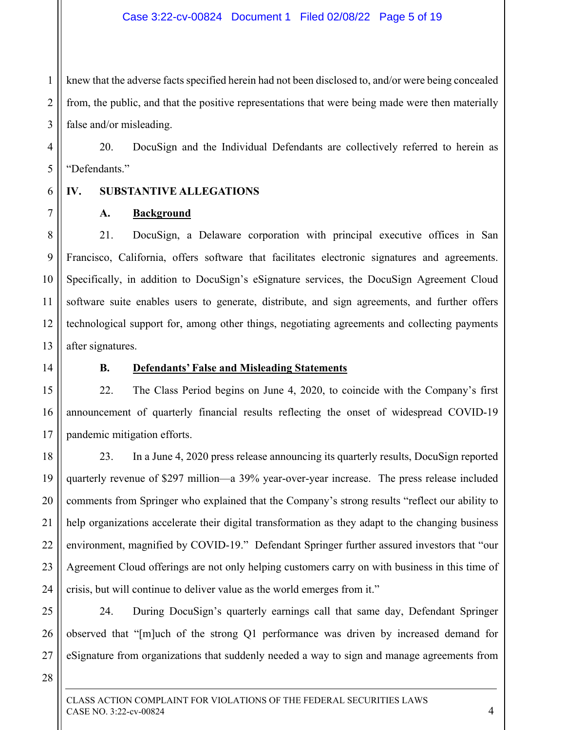1 2 3 knew that the adverse facts specified herein had not been disclosed to, and/or were being concealed from, the public, and that the positive representations that were being made were then materially false and/or misleading.

20. DocuSign and the Individual Defendants are collectively referred to herein as "Defendants."

6 7

4

5

# **IV. SUBSTANTIVE ALLEGATIONS**

### **A. Background**

8 9 10 11 12 13 21. DocuSign, a Delaware corporation with principal executive offices in San Francisco, California, offers software that facilitates electronic signatures and agreements. Specifically, in addition to DocuSign's eSignature services, the DocuSign Agreement Cloud software suite enables users to generate, distribute, and sign agreements, and further offers technological support for, among other things, negotiating agreements and collecting payments after signatures.

14

# **B. Defendants' False and Misleading Statements**

15 16 17 22. The Class Period begins on June 4, 2020, to coincide with the Company's first announcement of quarterly financial results reflecting the onset of widespread COVID-19 pandemic mitigation efforts.

18 19 20 21 22 23 24 23. In a June 4, 2020 press release announcing its quarterly results, DocuSign reported quarterly revenue of \$297 million—a 39% year-over-year increase. The press release included comments from Springer who explained that the Company's strong results "reflect our ability to help organizations accelerate their digital transformation as they adapt to the changing business environment, magnified by COVID-19." Defendant Springer further assured investors that "our Agreement Cloud offerings are not only helping customers carry on with business in this time of crisis, but will continue to deliver value as the world emerges from it."

26 27 24. During DocuSign's quarterly earnings call that same day, Defendant Springer observed that "[m]uch of the strong Q1 performance was driven by increased demand for eSignature from organizations that suddenly needed a way to sign and manage agreements from

28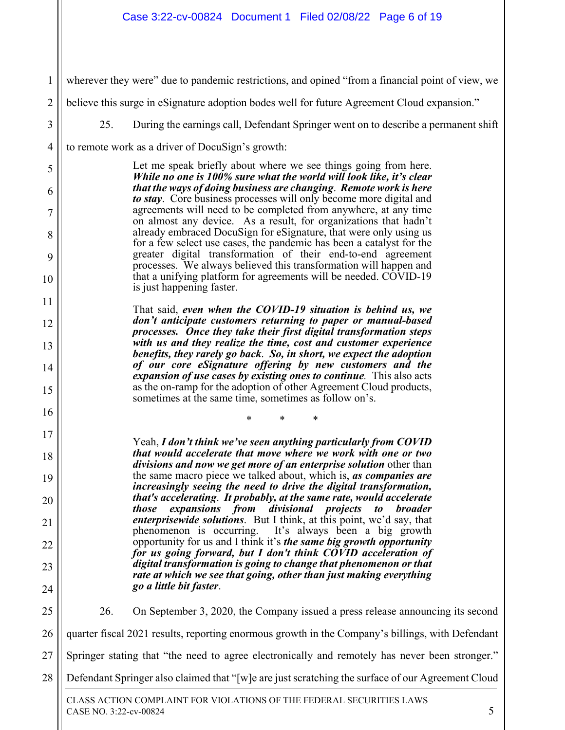1 2 3 4 5 6 7 8 9 10 11 12 13 14 15 16 17 18 19 20 21 22 23 24 25 26 27 28 wherever they were" due to pandemic restrictions, and opined "from a financial point of view, we believe this surge in eSignature adoption bodes well for future Agreement Cloud expansion." 25. During the earnings call, Defendant Springer went on to describe a permanent shift to remote work as a driver of DocuSign's growth: Let me speak briefly about where we see things going from here. *While no one is 100% sure what the world will look like, it's clear that the ways of doing business are changing*. *Remote work is here to stay*. Core business processes will only become more digital and agreements will need to be completed from anywhere, at any time on almost any device. As a result, for organizations that hadn't already embraced DocuSign for eSignature, that were only using us for a few select use cases, the pandemic has been a catalyst for the greater digital transformation of their end-to-end agreement processes. We always believed this transformation will happen and that a unifying platform for agreements will be needed. COVID-19 is just happening faster. That said, *even when the COVID-19 situation is behind us, we don't anticipate customers returning to paper or manual-based processes. Once they take their first digital transformation steps with us and they realize the time, cost and customer experience benefits, they rarely go back*. *So, in short, we expect the adoption of our core eSignature offering by new customers and the expansion of use cases by existing ones to continue.* This also acts as the on-ramp for the adoption of other Agreement Cloud products, sometimes at the same time, sometimes as follow on's. \* \* \* Yeah, *I don't think we've seen anything particularly from COVID that would accelerate that move where we work with one or two divisions and now we get more of an enterprise solution* other than the same macro piece we talked about, which is, *as companies are increasingly seeing the need to drive the digital transformation, that's accelerating*. *It probably, at the same rate, would accelerate those expansions from divisional projects to broader enterprisewide solutions*. But I think, at this point, we'd say, that phenomenon is occurring. It's always been a big growth opportunity for us and I think it's *the same big growth opportunity for us going forward, but I don't think COVID acceleration of digital transformation is going to change that phenomenon or that rate at which we see that going, other than just making everything go a little bit faster*. 26. On September 3, 2020, the Company issued a press release announcing its second quarter fiscal 2021 results, reporting enormous growth in the Company's billings, with Defendant Springer stating that "the need to agree electronically and remotely has never been stronger." Defendant Springer also claimed that "[w]e are just scratching the surface of our Agreement Cloud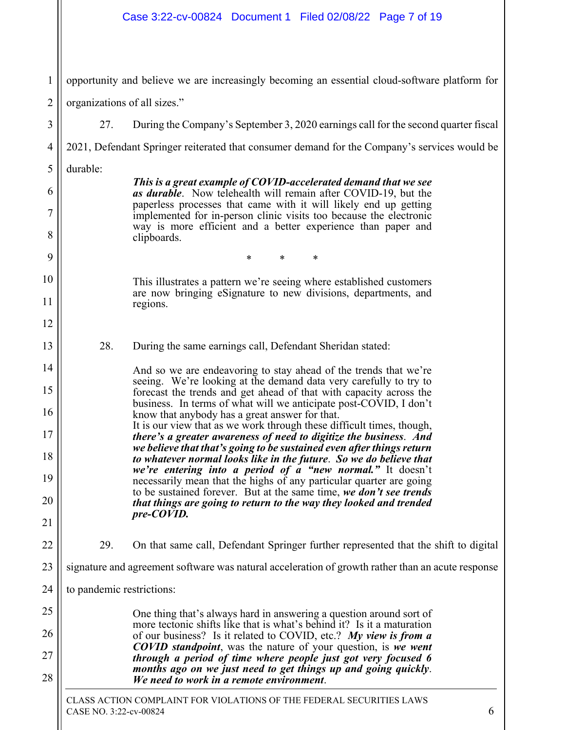|                | Case 3:22-cv-00824 Document 1 Filed 02/08/22 Page 7 of 19                                                                                    |
|----------------|----------------------------------------------------------------------------------------------------------------------------------------------|
| 1              | opportunity and believe we are increasingly becoming an essential cloud-software platform for                                                |
| $\overline{2}$ | organizations of all sizes."                                                                                                                 |
| 3              | 27.<br>During the Company's September 3, 2020 earnings call for the second quarter fiscal                                                    |
| $\overline{4}$ | 2021, Defendant Springer reiterated that consumer demand for the Company's services would be                                                 |
| 5              | durable:                                                                                                                                     |
| 6              | This is a great example of COVID-accelerated demand that we see<br>as durable. Now telehealth will remain after COVID-19, but the            |
| 7              | paperless processes that came with it will likely end up getting<br>implemented for in-person clinic visits too because the electronic       |
| 8              | way is more efficient and a better experience than paper and<br>clipboards.                                                                  |
| 9              | *<br>*<br>*                                                                                                                                  |
| 10             | This illustrates a pattern we're seeing where established customers                                                                          |
| 11             | are now bringing eSignature to new divisions, departments, and<br>regions.                                                                   |
| 12             |                                                                                                                                              |
| 13             | 28.<br>During the same earnings call, Defendant Sheridan stated:                                                                             |
| 14             | And so we are endeavoring to stay ahead of the trends that we're                                                                             |
| 15             | seeing. We're looking at the demand data very carefully to try to<br>forecast the trends and get ahead of that with capacity across the      |
| 16             | business. In terms of what will we anticipate post-COVID, I don't<br>know that anybody has a great answer for that.                          |
| 17             | It is our view that as we work through these difficult times, though,<br>there's a greater awareness of need to digitize the business. And   |
| 18             | we believe that that's going to be sustained even after things return<br>to whatever normal looks like in the future. So we do believe that  |
| 19             | we're entering into a period of a "new normal." It doesn't<br>necessarily mean that the highs of any particular quarter are going            |
| 20             | to be sustained forever. But at the same time, we don't see trends<br>that things are going to return to the way they looked and trended     |
| 21             | pre-COVID.                                                                                                                                   |
| 22             | 29.<br>On that same call, Defendant Springer further represented that the shift to digital                                                   |
| 23             | signature and agreement software was natural acceleration of growth rather than an acute response                                            |
| 24             | to pandemic restrictions:                                                                                                                    |
| 25             | One thing that's always hard in answering a question around sort of                                                                          |
| 26             | more tectonic shifts like that is what's behind it? Is it a maturation<br>of our business? Is it related to COVID, etc.? My view is from $a$ |
| 27             | <b>COVID standpoint</b> , was the nature of your question, is we went<br>through a period of time where people just got very focused 6       |
| 28             | months ago on we just need to get things up and going quickly.<br>We need to work in a remote environment.                                   |
|                | CLASS ACTION COMPLAINT FOR VIOLATIONS OF THE FEDERAL SECURITIES LAWS<br>CASE NO. 3:22-cv-00824<br>6                                          |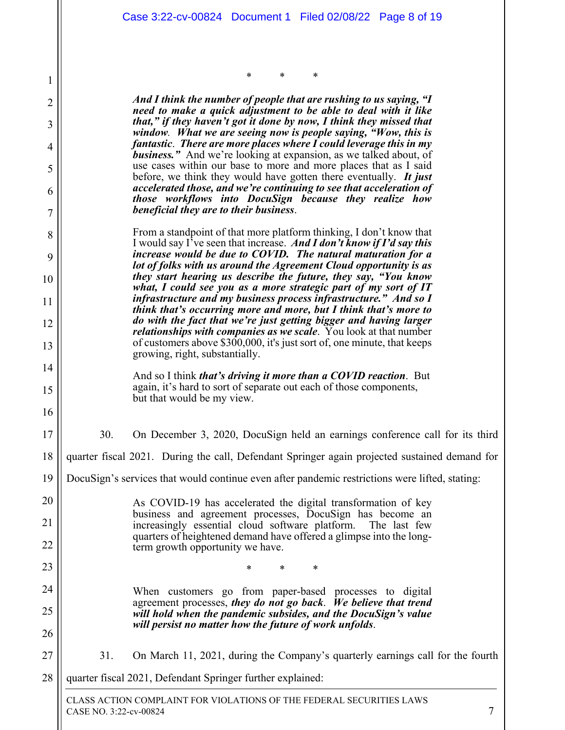\* \* \*

1

CLASS ACTION COMPLAINT FOR VIOLATIONS OF THE FEDERAL SECURITIES LAWS CASE NO. 3:22-cv-00824 7 2 3 4 5 6 7 8 9 10 11 12 13 14 15 16 17 18 19 20 21 22 23 24 25 26 27 28 *And I think the number of people that are rushing to us saying, "I need to make a quick adjustment to be able to deal with it like that," if they haven't got it done by now, I think they missed that window. What we are seeing now is people saying, "Wow, this is fantastic*. *There are more places where I could leverage this in my*  **business.**" And we're looking at expansion, as we talked about, of use cases within our base to more and more places that as I said before, we think they would have gotten there eventually. *It just accelerated those, and we're continuing to see that acceleration of those workflows into DocuSign because they realize how beneficial they are to their business*. From a standpoint of that more platform thinking, I don't know that I would say I've seen that increase. *And I don't know if I'd say this increase would be due to COVID. The natural maturation for a lot of folks with us around the Agreement Cloud opportunity is as they start hearing us describe the future, they say, "You know what, I could see you as a more strategic part of my sort of IT infrastructure and my business process infrastructure." And so I think that's occurring more and more, but I think that's more to do with the fact that we're just getting bigger and having larger relationships with companies as we scale*. You look at that number of customers above \$300,000, it's just sort of, one minute, that keeps growing, right, substantially. And so I think *that's driving it more than a COVID reaction*. But again, it's hard to sort of separate out each of those components, but that would be my view. 30. On December 3, 2020, DocuSign held an earnings conference call for its third quarter fiscal 2021. During the call, Defendant Springer again projected sustained demand for DocuSign's services that would continue even after pandemic restrictions were lifted, stating: As COVID-19 has accelerated the digital transformation of key business and agreement processes, DocuSign has become an increasingly essential cloud software platform. The last few quarters of heightened demand have offered a glimpse into the longterm growth opportunity we have. \* \* \* When customers go from paper-based processes to digital agreement processes, *they do not go back*. *We believe that trend will hold when the pandemic subsides, and the DocuSign's value will persist no matter how the future of work unfolds*. 31. On March 11, 2021, during the Company's quarterly earnings call for the fourth quarter fiscal 2021, Defendant Springer further explained: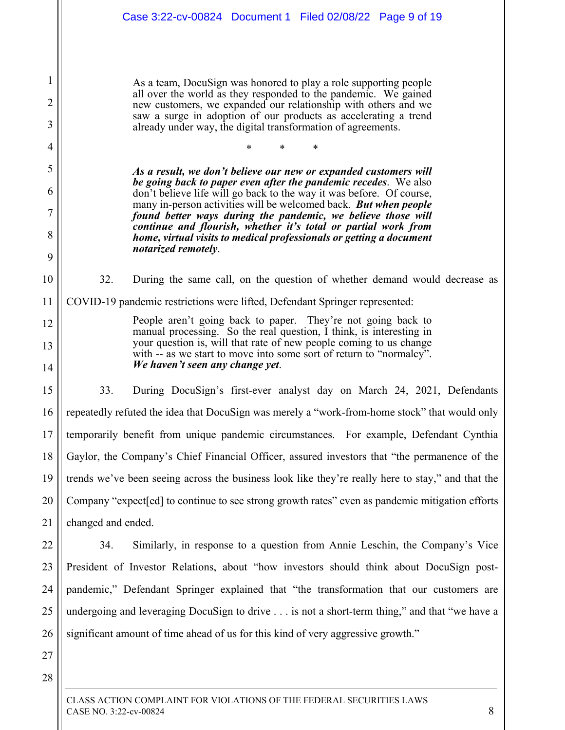1 2 3 4 5 6 7 8 9 10 11 12 13 14 15 16 17 18 19 20 21 22 23 24 25 26 27 28 As a team, DocuSign was honored to play a role supporting people all over the world as they responded to the pandemic. We gained new customers, we expanded our relationship with others and we saw a surge in adoption of our products as accelerating a trend already under way, the digital transformation of agreements. \* \* \* *As a result, we don't believe our new or expanded customers will be going back to paper even after the pandemic recedes*. We also don't believe life will go back to the way it was before. Of course, many in-person activities will be welcomed back. *But when people found better ways during the pandemic, we believe those will continue and flourish, whether it's total or partial work from home, virtual visits to medical professionals or getting a document notarized remotely*. 32. During the same call, on the question of whether demand would decrease as COVID-19 pandemic restrictions were lifted, Defendant Springer represented: People aren't going back to paper. They're not going back to manual processing. So the real question, I think, is interesting in your question is, will that rate of new people coming to us change with -- as we start to move into some sort of return to "normalcy". *We haven't seen any change yet*. 33. During DocuSign's first-ever analyst day on March 24, 2021, Defendants repeatedly refuted the idea that DocuSign was merely a "work-from-home stock" that would only temporarily benefit from unique pandemic circumstances. For example, Defendant Cynthia Gaylor, the Company's Chief Financial Officer, assured investors that "the permanence of the trends we've been seeing across the business look like they're really here to stay," and that the Company "expect[ed] to continue to see strong growth rates" even as pandemic mitigation efforts changed and ended. 34. Similarly, in response to a question from Annie Leschin, the Company's Vice President of Investor Relations, about "how investors should think about DocuSign postpandemic," Defendant Springer explained that "the transformation that our customers are undergoing and leveraging DocuSign to drive . . . is not a short-term thing," and that "we have a significant amount of time ahead of us for this kind of very aggressive growth." Case 3:22-cv-00824 Document 1 Filed 02/08/22 Page 9 of 19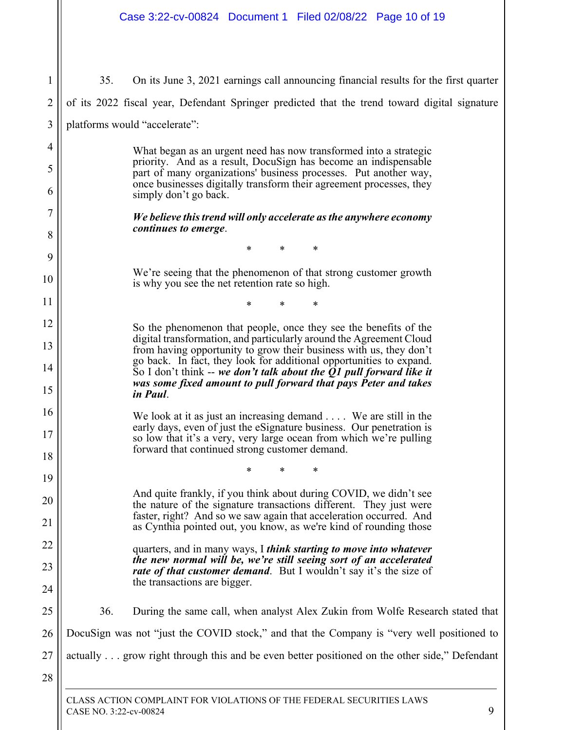1 2 3 4 5 6 7 8 9 10 11 12 13 14 15 16 17 18 19 20 21 22 23 24 25 26 27 28 35. On its June 3, 2021 earnings call announcing financial results for the first quarter of its 2022 fiscal year, Defendant Springer predicted that the trend toward digital signature platforms would "accelerate": What began as an urgent need has now transformed into a strategic priority. And as a result, DocuSign has become an indispensable part of many organizations' business processes. Put another way, once businesses digitally transform their agreement processes, they simply don't go back. *We believe this trend will only accelerate as the anywhere economy continues to emerge*. \* \* \* We're seeing that the phenomenon of that strong customer growth is why you see the net retention rate so high. \* \* \* So the phenomenon that people, once they see the benefits of the digital transformation, and particularly around the Agreement Cloud from having opportunity to grow their business with us, they don't go back. In fact, they look for additional opportunities to expand. So I don't think -- *we don't talk about the Q1 pull forward like it was some fixed amount to pull forward that pays Peter and takes in Paul*. We look at it as just an increasing demand . . . . We are still in the early days, even of just the eSignature business. Our penetration is so low that it's a very, very large ocean from which we're pulling forward that continued strong customer demand. \* \* \* And quite frankly, if you think about during COVID, we didn't see the nature of the signature transactions different. They just were faster, right? And so we saw again that acceleration occurred. And as Cynthia pointed out, you know, as we're kind of rounding those quarters, and in many ways, I *think starting to move into whatever the new normal will be, we're still seeing sort of an accelerated rate of that customer demand.* But I wouldn't say it's the size of the transactions are bigger. 36. During the same call, when analyst Alex Zukin from Wolfe Research stated that DocuSign was not "just the COVID stock," and that the Company is "very well positioned to actually . . . grow right through this and be even better positioned on the other side," Defendant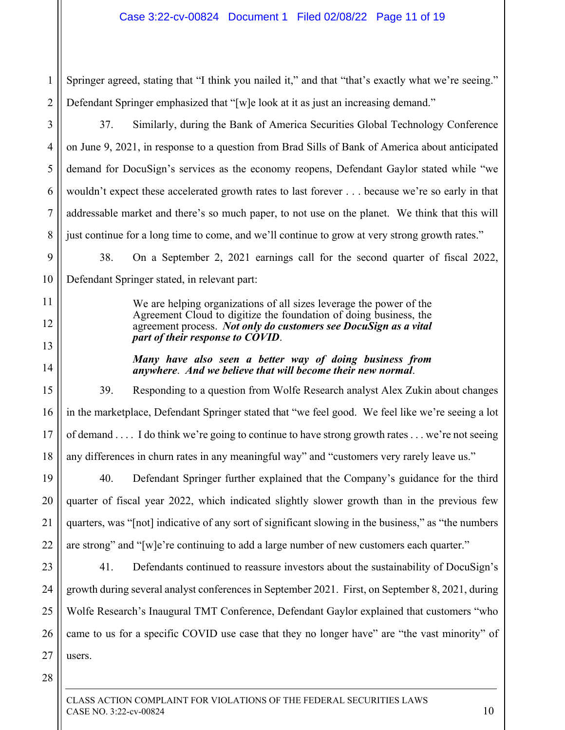1 2 Springer agreed, stating that "I think you nailed it," and that "that's exactly what we're seeing." Defendant Springer emphasized that "[w]e look at it as just an increasing demand."

37. Similarly, during the Bank of America Securities Global Technology Conference on June 9, 2021, in response to a question from Brad Sills of Bank of America about anticipated demand for DocuSign's services as the economy reopens, Defendant Gaylor stated while "we wouldn't expect these accelerated growth rates to last forever . . . because we're so early in that addressable market and there's so much paper, to not use on the planet. We think that this will just continue for a long time to come, and we'll continue to grow at very strong growth rates."

9 10 38. On a September 2, 2021 earnings call for the second quarter of fiscal 2022, Defendant Springer stated, in relevant part:

> We are helping organizations of all sizes leverage the power of the Agreement Cloud to digitize the foundation of doing business, the agreement process. *Not only do customers see DocuSign as a vital part of their response to COVID*.

> *Many have also seen a better way of doing business from anywhere*. *And we believe that will become their new normal*.

15 16 17 18 39. Responding to a question from Wolfe Research analyst Alex Zukin about changes in the marketplace, Defendant Springer stated that "we feel good. We feel like we're seeing a lot of demand . . . . I do think we're going to continue to have strong growth rates . . . we're not seeing any differences in churn rates in any meaningful way" and "customers very rarely leave us."

19 20 21 22 40. Defendant Springer further explained that the Company's guidance for the third quarter of fiscal year 2022, which indicated slightly slower growth than in the previous few quarters, was "[not] indicative of any sort of significant slowing in the business," as "the numbers are strong" and "[w]e're continuing to add a large number of new customers each quarter."

23 24 25 26 27 41. Defendants continued to reassure investors about the sustainability of DocuSign's growth during several analyst conferences in September 2021. First, on September 8, 2021, during Wolfe Research's Inaugural TMT Conference, Defendant Gaylor explained that customers "who came to us for a specific COVID use case that they no longer have" are "the vast minority" of users.

28

3

4

5

6

7

8

11

12

13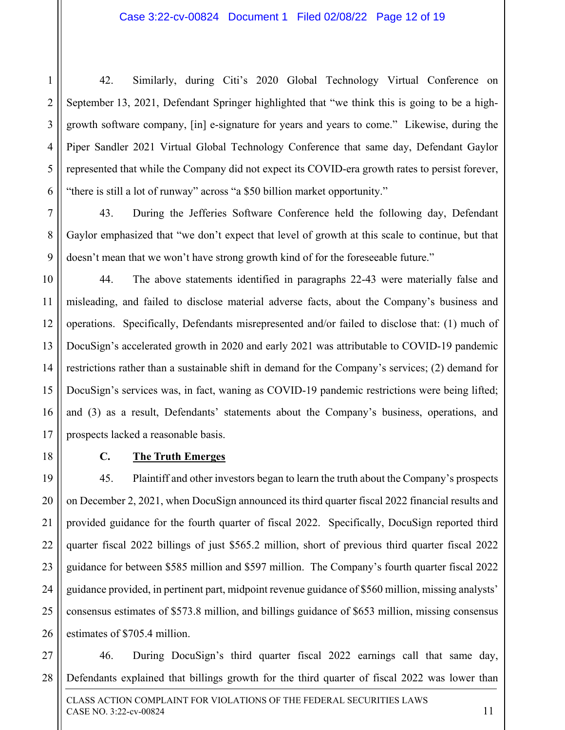42. Similarly, during Citi's 2020 Global Technology Virtual Conference on September 13, 2021, Defendant Springer highlighted that "we think this is going to be a highgrowth software company, [in] e-signature for years and years to come." Likewise, during the Piper Sandler 2021 Virtual Global Technology Conference that same day, Defendant Gaylor represented that while the Company did not expect its COVID-era growth rates to persist forever, "there is still a lot of runway" across "a \$50 billion market opportunity."

43. During the Jefferies Software Conference held the following day, Defendant Gaylor emphasized that "we don't expect that level of growth at this scale to continue, but that doesn't mean that we won't have strong growth kind of for the foreseeable future."

10 11 12 13 14 15 16 17 44. The above statements identified in paragraphs 22-43 were materially false and misleading, and failed to disclose material adverse facts, about the Company's business and operations. Specifically, Defendants misrepresented and/or failed to disclose that: (1) much of DocuSign's accelerated growth in 2020 and early 2021 was attributable to COVID-19 pandemic restrictions rather than a sustainable shift in demand for the Company's services; (2) demand for DocuSign's services was, in fact, waning as COVID-19 pandemic restrictions were being lifted; and (3) as a result, Defendants' statements about the Company's business, operations, and prospects lacked a reasonable basis.

18

1

2

3

4

5

6

7

8

9

### **C. The Truth Emerges**

19 20 21 22 23 24 25 26 45. Plaintiff and other investors began to learn the truth about the Company's prospects on December 2, 2021, when DocuSign announced its third quarter fiscal 2022 financial results and provided guidance for the fourth quarter of fiscal 2022. Specifically, DocuSign reported third quarter fiscal 2022 billings of just \$565.2 million, short of previous third quarter fiscal 2022 guidance for between \$585 million and \$597 million. The Company's fourth quarter fiscal 2022 guidance provided, in pertinent part, midpoint revenue guidance of \$560 million, missing analysts' consensus estimates of \$573.8 million, and billings guidance of \$653 million, missing consensus estimates of \$705.4 million.

27 28 46. During DocuSign's third quarter fiscal 2022 earnings call that same day, Defendants explained that billings growth for the third quarter of fiscal 2022 was lower than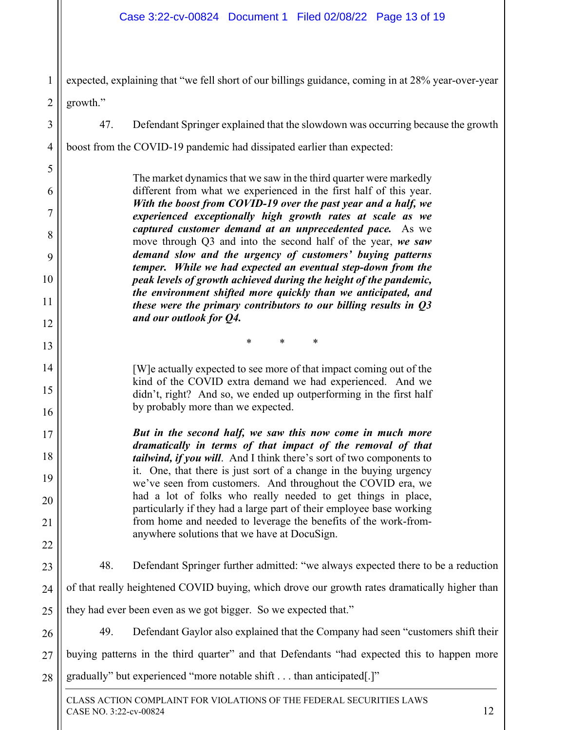1 expected, explaining that "we fell short of our billings guidance, coming in at 28% year-over-year

2 growth."

3

4

5

6

7

8

9

10

11

12

13

14

15

16

17

18

19

20

21

22

23

24

25

47. Defendant Springer explained that the slowdown was occurring because the growth

boost from the COVID-19 pandemic had dissipated earlier than expected:

The market dynamics that we saw in the third quarter were markedly different from what we experienced in the first half of this year. *With the boost from COVID-19 over the past year and a half, we experienced exceptionally high growth rates at scale as we captured customer demand at an unprecedented pace.* As we move through Q3 and into the second half of the year, *we saw demand slow and the urgency of customers' buying patterns temper. While we had expected an eventual step-down from the peak levels of growth achieved during the height of the pandemic, the environment shifted more quickly than we anticipated, and these were the primary contributors to our billing results in Q3 and our outlook for Q4.* 

\* \* \*

[W]e actually expected to see more of that impact coming out of the kind of the COVID extra demand we had experienced. And we didn't, right? And so, we ended up outperforming in the first half by probably more than we expected.

*But in the second half, we saw this now come in much more dramatically in terms of that impact of the removal of that tailwind, if you will*. And I think there's sort of two components to it. One, that there is just sort of a change in the buying urgency we've seen from customers. And throughout the COVID era, we had a lot of folks who really needed to get things in place, particularly if they had a large part of their employee base working from home and needed to leverage the benefits of the work-fromanywhere solutions that we have at DocuSign.

48. Defendant Springer further admitted: "we always expected there to be a reduction of that really heightened COVID buying, which drove our growth rates dramatically higher than they had ever been even as we got bigger. So we expected that."

26 27 28 49. Defendant Gaylor also explained that the Company had seen "customers shift their buying patterns in the third quarter" and that Defendants "had expected this to happen more gradually" but experienced "more notable shift . . . than anticipated[.]"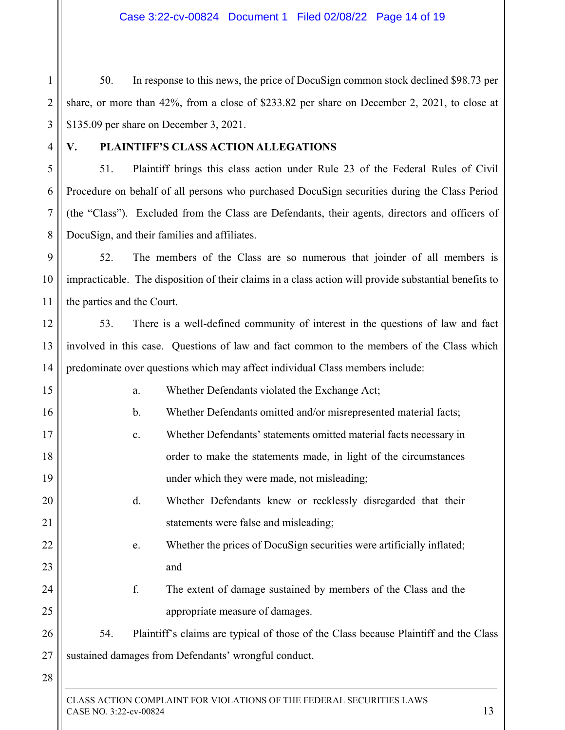1 2 3 50. In response to this news, the price of DocuSign common stock declined \$98.73 per share, or more than 42%, from a close of \$233.82 per share on December 2, 2021, to close at \$135.09 per share on December 3, 2021.

4

5

6

7

8

12

13

14

15

16

17

18

19

20

21

22

23

24

25

26

27

## **V. PLAINTIFF'S CLASS ACTION ALLEGATIONS**

51. Plaintiff brings this class action under Rule 23 of the Federal Rules of Civil Procedure on behalf of all persons who purchased DocuSign securities during the Class Period (the "Class"). Excluded from the Class are Defendants, their agents, directors and officers of DocuSign, and their families and affiliates.

9 10 11 52. The members of the Class are so numerous that joinder of all members is impracticable. The disposition of their claims in a class action will provide substantial benefits to the parties and the Court.

53. There is a well-defined community of interest in the questions of law and fact involved in this case. Questions of law and fact common to the members of the Class which predominate over questions which may affect individual Class members include:

- a. Whether Defendants violated the Exchange Act;
- b. Whether Defendants omitted and/or misrepresented material facts;
- c. Whether Defendants' statements omitted material facts necessary in order to make the statements made, in light of the circumstances under which they were made, not misleading;
- d. Whether Defendants knew or recklessly disregarded that their statements were false and misleading;
	- e. Whether the prices of DocuSign securities were artificially inflated; and
	- f. The extent of damage sustained by members of the Class and the appropriate measure of damages.
- 54. Plaintiff's claims are typical of those of the Class because Plaintiff and the Class sustained damages from Defendants' wrongful conduct.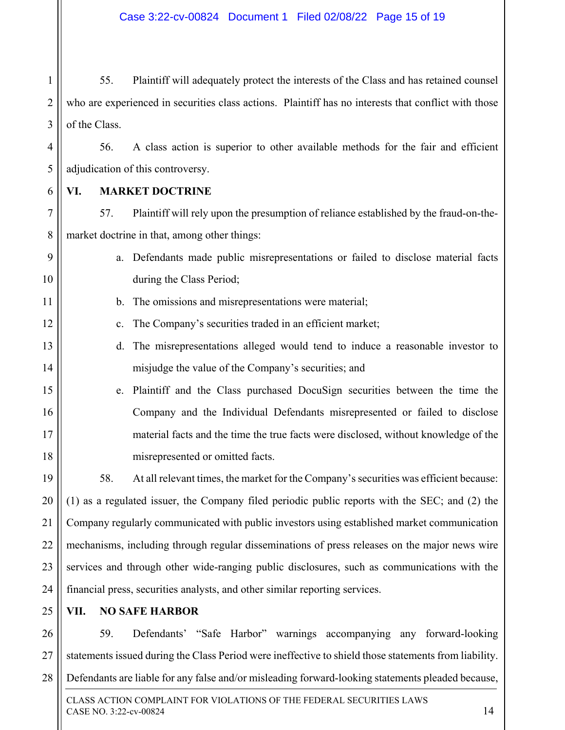1 2 3 55. Plaintiff will adequately protect the interests of the Class and has retained counsel who are experienced in securities class actions. Plaintiff has no interests that conflict with those of the Class.

4 56. A class action is superior to other available methods for the fair and efficient adjudication of this controversy.

6

5

9

10

11

12

13

14

15

16

17

18

### **VI. MARKET DOCTRINE**

7 8 57. Plaintiff will rely upon the presumption of reliance established by the fraud-on-themarket doctrine in that, among other things:

- a. Defendants made public misrepresentations or failed to disclose material facts during the Class Period;
	- b. The omissions and misrepresentations were material;
		- c. The Company's securities traded in an efficient market;
	- d. The misrepresentations alleged would tend to induce a reasonable investor to misjudge the value of the Company's securities; and
	- e. Plaintiff and the Class purchased DocuSign securities between the time the Company and the Individual Defendants misrepresented or failed to disclose material facts and the time the true facts were disclosed, without knowledge of the misrepresented or omitted facts.

19 20 21 22 23 24 58. At all relevant times, the market for the Company's securities was efficient because: (1) as a regulated issuer, the Company filed periodic public reports with the SEC; and (2) the Company regularly communicated with public investors using established market communication mechanisms, including through regular disseminations of press releases on the major news wire services and through other wide-ranging public disclosures, such as communications with the financial press, securities analysts, and other similar reporting services.

25 **VII. NO SAFE HARBOR** 

26 27 28 59. Defendants' "Safe Harbor" warnings accompanying any forward-looking statements issued during the Class Period were ineffective to shield those statements from liability. Defendants are liable for any false and/or misleading forward-looking statements pleaded because,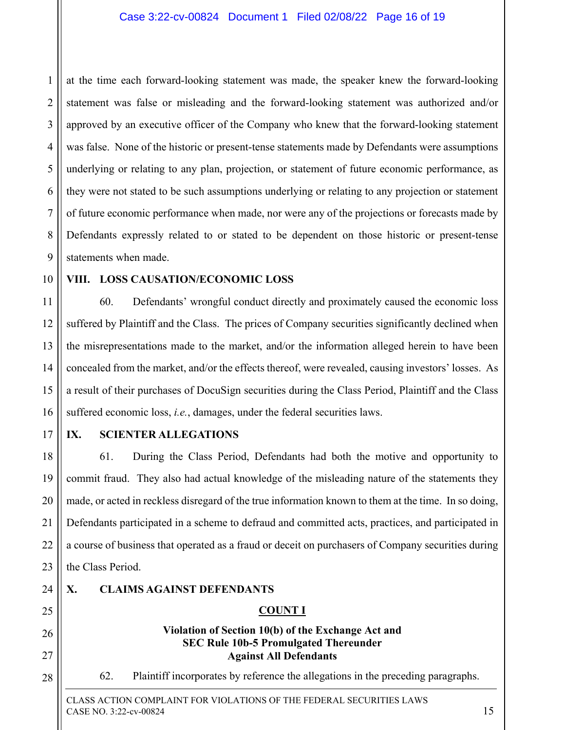1 2 3 4 5 6 7 8 9 at the time each forward-looking statement was made, the speaker knew the forward-looking statement was false or misleading and the forward-looking statement was authorized and/or approved by an executive officer of the Company who knew that the forward-looking statement was false. None of the historic or present-tense statements made by Defendants were assumptions underlying or relating to any plan, projection, or statement of future economic performance, as they were not stated to be such assumptions underlying or relating to any projection or statement of future economic performance when made, nor were any of the projections or forecasts made by Defendants expressly related to or stated to be dependent on those historic or present-tense statements when made.

10

## **VIII. LOSS CAUSATION/ECONOMIC LOSS**

11 12 13 14 15 16 60. Defendants' wrongful conduct directly and proximately caused the economic loss suffered by Plaintiff and the Class. The prices of Company securities significantly declined when the misrepresentations made to the market, and/or the information alleged herein to have been concealed from the market, and/or the effects thereof, were revealed, causing investors' losses. As a result of their purchases of DocuSign securities during the Class Period, Plaintiff and the Class suffered economic loss, *i.e.*, damages, under the federal securities laws.

17

### **IX. SCIENTER ALLEGATIONS**

18 19 20 21 22 23 61. During the Class Period, Defendants had both the motive and opportunity to commit fraud. They also had actual knowledge of the misleading nature of the statements they made, or acted in reckless disregard of the true information known to them at the time. In so doing, Defendants participated in a scheme to defraud and committed acts, practices, and participated in a course of business that operated as a fraud or deceit on purchasers of Company securities during the Class Period.

24

25

26

27

28

### **X. CLAIMS AGAINST DEFENDANTS**

## **COUNT I**

#### **Violation of Section 10(b) of the Exchange Act and SEC Rule 10b-5 Promulgated Thereunder Against All Defendants**

62. Plaintiff incorporates by reference the allegations in the preceding paragraphs.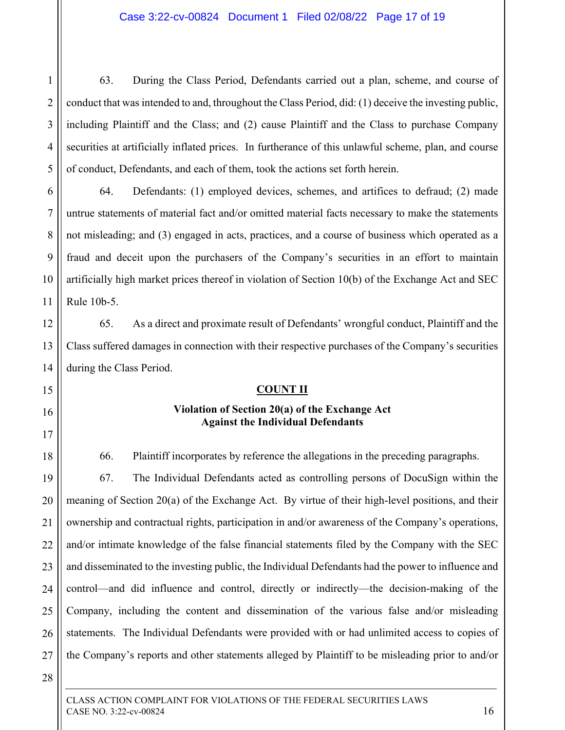#### Case 3:22-cv-00824 Document 1 Filed 02/08/22 Page 17 of 19

63. During the Class Period, Defendants carried out a plan, scheme, and course of conduct that was intended to and, throughout the Class Period, did: (1) deceive the investing public, including Plaintiff and the Class; and (2) cause Plaintiff and the Class to purchase Company securities at artificially inflated prices. In furtherance of this unlawful scheme, plan, and course of conduct, Defendants, and each of them, took the actions set forth herein.

6 7 8 9 10 11 64. Defendants: (1) employed devices, schemes, and artifices to defraud; (2) made untrue statements of material fact and/or omitted material facts necessary to make the statements not misleading; and (3) engaged in acts, practices, and a course of business which operated as a fraud and deceit upon the purchasers of the Company's securities in an effort to maintain artificially high market prices thereof in violation of Section 10(b) of the Exchange Act and SEC Rule 10b-5.

12 13 14 65. As a direct and proximate result of Defendants' wrongful conduct, Plaintiff and the Class suffered damages in connection with their respective purchases of the Company's securities during the Class Period.

#### **COUNT II**

#### **Violation of Section 20(a) of the Exchange Act Against the Individual Defendants**

66. Plaintiff incorporates by reference the allegations in the preceding paragraphs.

19 20 22 23 24 25 26 27 67. The Individual Defendants acted as controlling persons of DocuSign within the meaning of Section 20(a) of the Exchange Act. By virtue of their high-level positions, and their ownership and contractual rights, participation in and/or awareness of the Company's operations, and/or intimate knowledge of the false financial statements filed by the Company with the SEC and disseminated to the investing public, the Individual Defendants had the power to influence and control—and did influence and control, directly or indirectly—the decision-making of the Company, including the content and dissemination of the various false and/or misleading statements. The Individual Defendants were provided with or had unlimited access to copies of the Company's reports and other statements alleged by Plaintiff to be misleading prior to and/or

28

1

2

3

4

5

15

16

17

18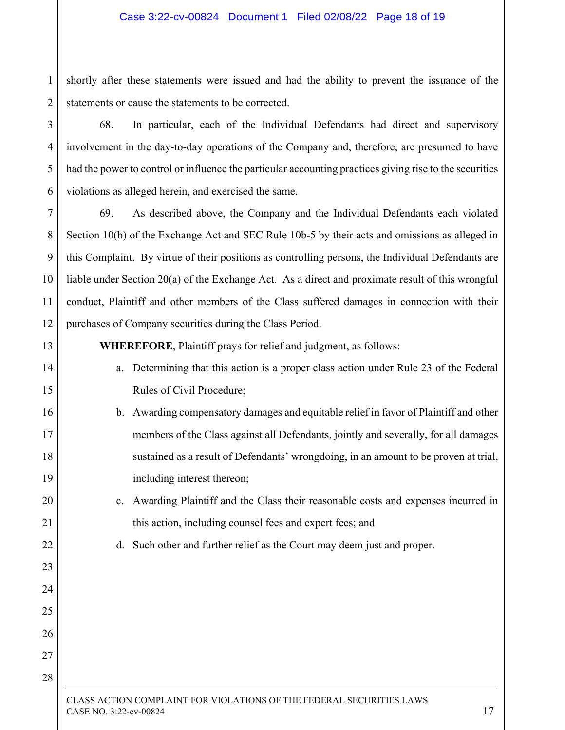1 2 shortly after these statements were issued and had the ability to prevent the issuance of the statements or cause the statements to be corrected.

3

4

5

6

13

14

15

16

17

18

19

20

21

22

23

24

25

26

27

28

68. In particular, each of the Individual Defendants had direct and supervisory involvement in the day-to-day operations of the Company and, therefore, are presumed to have had the power to control or influence the particular accounting practices giving rise to the securities violations as alleged herein, and exercised the same.

7 8 9 10 11 12 69. As described above, the Company and the Individual Defendants each violated Section 10(b) of the Exchange Act and SEC Rule 10b-5 by their acts and omissions as alleged in this Complaint. By virtue of their positions as controlling persons, the Individual Defendants are liable under Section 20(a) of the Exchange Act. As a direct and proximate result of this wrongful conduct, Plaintiff and other members of the Class suffered damages in connection with their purchases of Company securities during the Class Period.

**WHEREFORE**, Plaintiff prays for relief and judgment, as follows:

- a. Determining that this action is a proper class action under Rule 23 of the Federal Rules of Civil Procedure;
- b. Awarding compensatory damages and equitable relief in favor of Plaintiff and other members of the Class against all Defendants, jointly and severally, for all damages sustained as a result of Defendants' wrongdoing, in an amount to be proven at trial, including interest thereon;
	- c. Awarding Plaintiff and the Class their reasonable costs and expenses incurred in this action, including counsel fees and expert fees; and

d. Such other and further relief as the Court may deem just and proper.